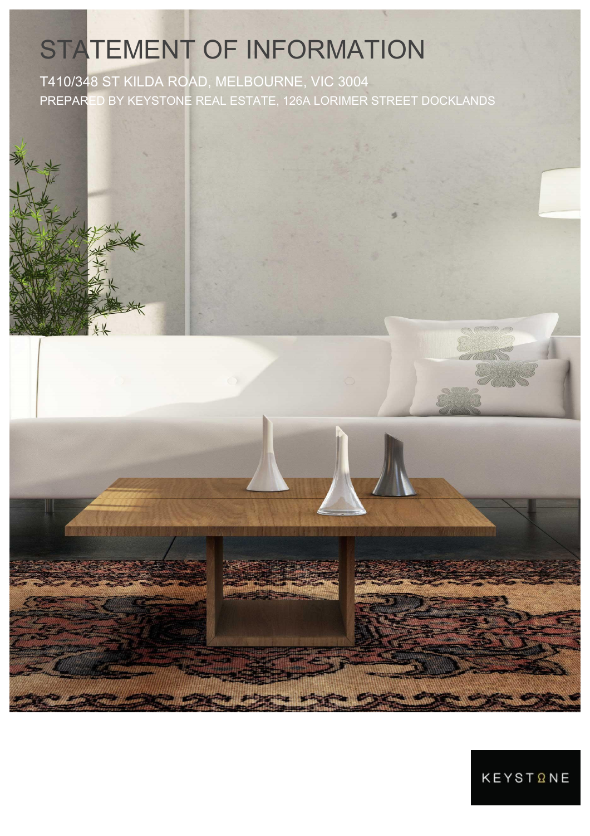# STATEMENT OF INFORMATION

T410/348 ST KILDA ROAD, MELBOURNE, VIC 3004 PREPARED BY KEYSTONE REAL ESTATE, 126A LORIMER STREET DOCKLANDS



**KEYSTQNE**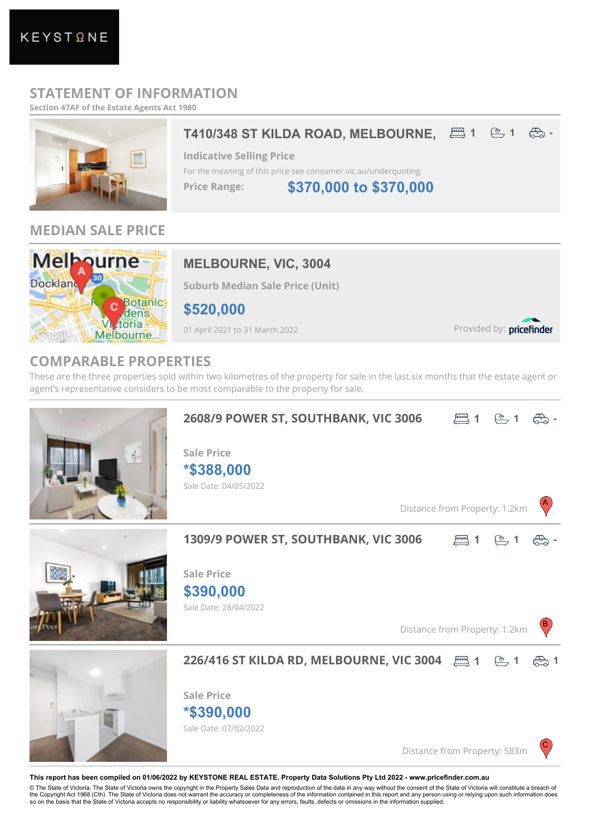# **STATEMENT OF INFORMATION**

**Section 47AF of the Estate Agents Act 1980**



### **MEDIAN SALE PRICE**



# **MELBOURNE, VIC, 3004**

**Suburb Median Sale Price (Unit)**

**\$520,000**

01 April 2021 to 31 March 2022

Provided by: pricefinder

# **COMPARABLE PROPERTIES**

These are the three properties sold within two kilometres of the property for sale in the last six months that the estate agent or agent's representative considers to be most comparable to the property for sale.



© The State of Victoria. The State of Victoria owns the copyright in the Property Sales Data and reproduction of the data in any way without the consent of the State of Victoria will constitute a breach of<br>the Copyright Ac so on the basis that the State of Victoria accepts no responsibility or liability whatsoever for any errors, faults, defects or omissions in the information supplied.